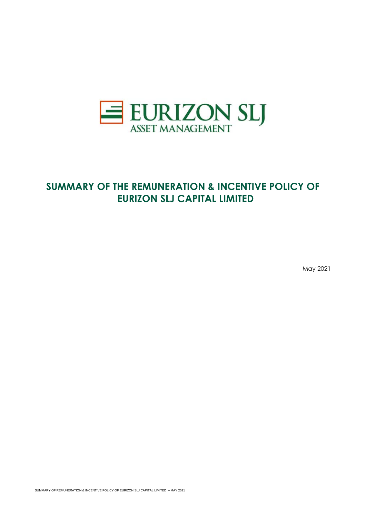

# **SUMMARY OF THE REMUNERATION & INCENTIVE POLICY OF EURIZON SLJ CAPITAL LIMITED**

May 2021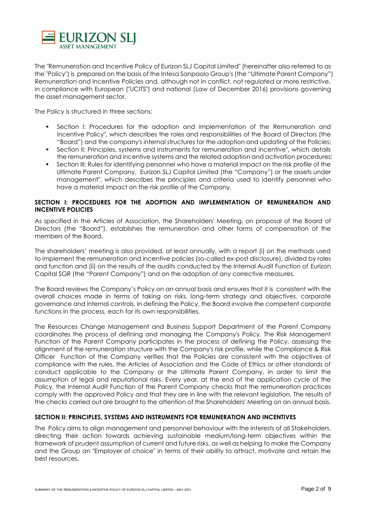

The "Remuneration and Incentive Policy of Eurizon SLJ Capital Limited" (hereinafter also referred to as the "Policy") is prepared on the basis of the Intesa Sanpaolo Group's (the "Ultimate Parent Company") Remuneration and Incentive Policies and, although not in conflict, not regulated or more restrictive, in compliance with European ("UCITS") and national (Law of December 2016) provisions governing the asset management sector.

The Policy is structured in three sections:

- Section I: Procedures for the adoption and implementation of the Remuneration and Incentive Policy", which describes the roles and responsibilities of the Board of Directors (the "Board") and the company's internal structures for the adoption and updating of the Policies;
- Section II: Principles, systems and instruments for remuneration and incentive", which details the remuneration and incentive systems and the related adoption and activation procedures;
- Section III: Rules for identifying personnel who have a material impact on the risk profile of the Ultimate Parent Company, Eurizon SLJ Capital Limited (the "Company") or the assets under management", which describes the principles and criteria used to identify personnel who have a material impact on the risk profile of the Company.

# **SECTION I: PROCEDURES FOR THE ADOPTION AND IMPLEMENTATION OF REMUNERATION AND INCENTIVE POLICIES**

As specified in the Articles of Association, the Shareholders' Meeting, on proposal of the Board of Directors (the "Board"), establishes the remuneration and other forms of compensation of the members of the Board.

The shareholders' meeting is also provided, at least annually, with a report (i) on the methods used to implement the remuneration and incentive policies (so-called ex-post disclosure), divided by roles and function and (ii) on the results of the audits conducted by the Internal Audit Function of Eurizon Capital SGR (the "Parent Company") and on the adoption of any corrective measures.

The Board reviews the Company's Policy on an annual basis and ensures that it is consistent with the overall choices made in terms of taking on risks, long-term strategy and objectives, corporate governance and internal controls. In defining the Policy, the Board involve the competent corporate functions in the process, each for its own responsibilities.

The Resources Change Management and Business Support Department of the Parent Company coordinates the process of defining and managing the Company's Policy. The Risk Management Function of the Parent Company participates in the process of defining the Policy, assessing the alignment of the remuneration structure with the Company's risk profile, while the Compliance & Risk Officer Function of the Company verifies that the Policies are consistent with the objectives of compliance with the rules, the Articles of Association and the Code of Ethics or other standards of conduct applicable to the Company or the Ultimate Parent Company, in order to limit the assumption of legal and reputational risks. Every year, at the end of the application cycle of the Policy, the Internal Audit Function of the Parent Company checks that the remuneration practices comply with the approved Policy and that they are in line with the relevant legislation. The results of the checks carried out are brought to the attention of the Shareholders' Meeting on an annual basis.

# **SECTION II: PRINCIPLES, SYSTEMS AND INSTRUMENTS FOR REMUNERATION AND INCENTIVES**

The Policy aims to align management and personnel behaviour with the interests of all Stakeholders, directing their action towards achieving sustainable medium/long-term objectives within the framework of prudent assumption of current and future risks, as well as helping to make the Company and the Group an "Employer of choice" in terms of their ability to attract, motivate and retain the best resources.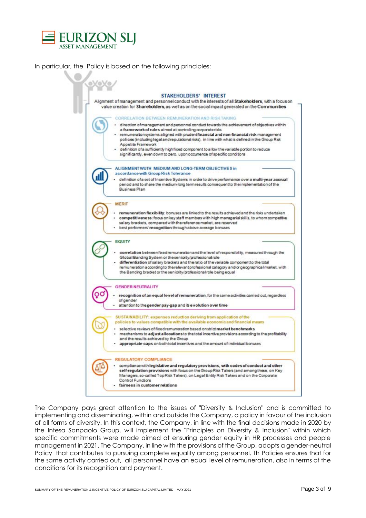

In particular, the Policy is based on the following principles:



The Company pays great attention to the issues of "Diversity & Inclusion" and is committed to implementing and disseminating, within and outside the Company, a policy in favour of the inclusion of all forms of diversity. In this context, the Company, in line with the final decisions made in 2020 by the Intesa Sanpaolo Group, will implement the "Principles on Diversity & Inclusion" within which specific commitments were made aimed at ensuring gender equity in HR processes and people management in 2021. The Company, in line with the provisions of the Group, adopts a gender-neutral Policy that contributes to pursuing complete equality among personnel. Th Policies ensures that for the same activity carried out, all personnel have an equal level of remuneration, also in terms of the conditions for its recognition and payment.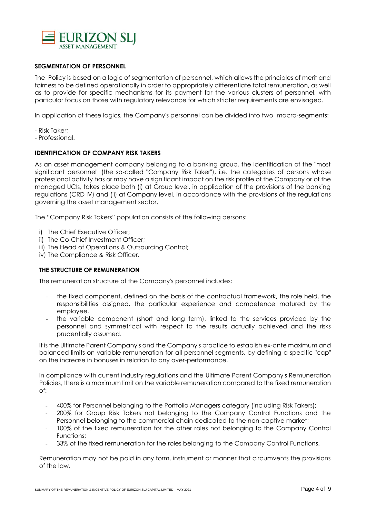

# **SEGMENTATION OF PERSONNEL**

The Policy is based on a logic of segmentation of personnel, which allows the principles of merit and fairness to be defined operationally in order to appropriately differentiate total remuneration, as well as to provide for specific mechanisms for its payment for the various clusters of personnel, with particular focus on those with regulatory relevance for which stricter requirements are envisaged.

In application of these logics, the Company's personnel can be divided into two macro-segments:

- Risk Taker;
- Professional.

## **IDENTIFICATION OF COMPANY RISK TAKERS**

As an asset management company belonging to a banking group, the identification of the "most significant personnel" (the so-called "Company Risk Taker"), i.e. the categories of persons whose professional activity has or may have a significant impact on the risk profile of the Company or of the managed UCIs, takes place both (i) at Group level, in application of the provisions of the banking regulations (CRD IV) and (ii) at Company level, in accordance with the provisions of the regulations governing the asset management sector.

The "Company Risk Takers" population consists of the following persons:

- i) The Chief Executive Officer;
- ii) The Co-Chief Investment Officer;
- iii) The Head of Operations & Outsourcing Control;
- iv) The Compliance & Risk Officer.

# **THE STRUCTURE OF REMUNERATION**

The remuneration structure of the Company's personnel includes:

- the fixed component, defined on the basis of the contractual framework, the role held, the responsibilities assigned, the particular experience and competence matured by the employee.
- the variable component (short and long term), linked to the services provided by the personnel and symmetrical with respect to the results actually achieved and the risks prudentially assumed.

It is the Ultimate Parent Company's and the Company's practice to establish ex-ante maximum and balanced limits on variable remuneration for all personnel segments, by defining a specific "cap" on the increase in bonuses in relation to any over-performance.

In compliance with current industry regulations and the Ultimate Parent Company's Remuneration Policies, there is a maximum limit on the variable remuneration compared to the fixed remuneration of:

- 400% for Personnel belonging to the Portfolio Managers category (including Risk Takers);
- 200% for Group Risk Takers not belonging to the Company Control Functions and the Personnel belonging to the commercial chain dedicated to the non-captive market;
- 100% of the fixed remuneration for the other roles not belonging to the Company Control Functions;
- 33% of the fixed remuneration for the roles belonging to the Company Control Functions.

Remuneration may not be paid in any form, instrument or manner that circumvents the provisions of the law.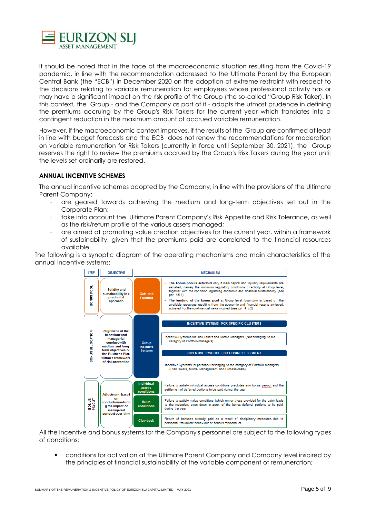

It should be noted that in the face of the macroeconomic situation resulting from the Covid-19 pandemic, in line with the recommendation addressed to the Ultimate Parent by the European Central Bank (the "ECB") in December 2020 on the adoption of extreme restraint with respect to the decisions relating to variable remuneration for employees whose professional activity has or may have a significant impact on the risk profile of the Group (the so-called "Group Risk Taker). In this context, the Group - and the Company as part of it - adopts the utmost prudence in defining the premiums accruing by the Group's Risk Takers for the current year which translates into a contingent reduction in the maximum amount of accrued variable remuneration.

However, if the macroeconomic context improves, if the results of the Group are confirmed at least in line with budget forecasts and the ECB does not renew the recommendations for moderation on variable remuneration for Risk Takers (currently in force until September 30, 2021), the Group reserves the right to review the premiums accrued by the Group's Risk Takers during the year until the levels set ordinarily are restored.

# **ANNUAL INCENTIVE SCHEMES**

The annual incentive schemes adopted by the Company, in line with the provisions of the Ultimate Parent Company:

- are geared towards achieving the medium and long-term objectives set out in the Corporate Plan;
- take into account the Ultimate Parent Company's Risk Appetite and Risk Tolerance, as well as the risk/return profile of the various assets managed;
- are aimed at promoting value creation objectives for the current year, within a framework of sustainability, given that the premiums paid are correlated to the financial resources available.

The following is a synoptic diagram of the operating mechanisms and main characteristics of the annual incentive systems:



All the incentive and bonus systems for the Company's personnel are subject to the following types of conditions:

▪ conditions for activation at the Ultimate Parent Company and Company level inspired by the principles of financial sustainability of the variable component of remuneration;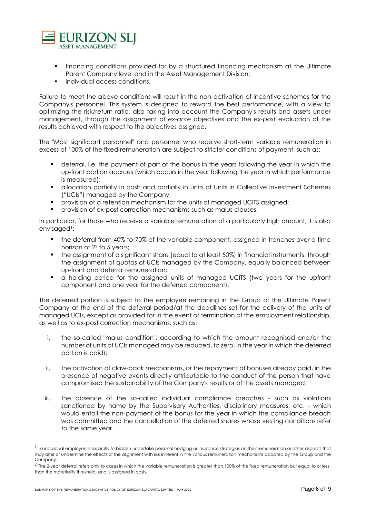

- financing conditions provided for by a structured financing mechanism at the Ultimate Parent Company level and in the Asset Management Division;
- individual access conditions.

Failure to meet the above conditions will result in the non-activation of incentive schemes for the Company's personnel. This system is designed to reward the best performance, with a view to optimizing the risk/return ratio, also taking into account the Company's results and assets under management, through the assignment of *ex-ante* objectives and the *ex-post* evaluation of the results achieved with respect to the objectives assigned.

The "Most significant personnel" and personnel who receive short-term variable remuneration in excess of 100% of the fixed remuneration are subject to stricter conditions of payment, such as:

- deferral, i.e. the payment of part of the bonus in the years following the year in which the up-front portion accrues (which occurs in the year following the year in which performance is measured);
- allocation partially in cash and partially in units of Units in Collective Investment Schemes ("UCIs") managed by the Company;
- provision of a retention mechanism for the units of managed UCITS assigned;
- **•** provision of ex-post correction mechanisms such as malus clauses.

In particular, for those who receive a variable remuneration of a particularly high amount, it is also envisaged<sup>1</sup>:

- the deferral from 40% to 70% of the variable component, assigned in tranches over a time horizon of 2<sup>2</sup> to 5 years;
- the assignment of a significant share (equal to at least 50%) in financial instruments, through the assignment of quotas of UCIs managed by the Company, equally balanced between up-front and deferral remuneration;
- a holding period for the assigned units of managed UCITS (two years for the upfront component and one year for the deferred component).

The deferred portion is subject to the employee remaining in the Group of the Ultimate Parent Company at the end of the deferral period/at the deadlines set for the delivery of the units of managed UCIs, except as provided for in the event of termination of the employment relationship, as well as to ex-post correction mechanisms, such as:

- i. the so-called "malus condition", according to which the amount recognised and/or the number of units of UCIs managed may be reduced, to zero, in the year in which the deferred portion is paid);
- ii. the activation of claw-back mechanisms, or the repayment of bonuses already paid, in the presence of negative events directly attributable to the conduct of the person that have compromised the sustainability of the Company's results or of the assets managed;
- iii. the absence of the so-called individual compliance breaches such as violations sanctioned by name by the Supervisory Authorities, disciplinary measures, etc. - which would entail the non-payment of the bonus for the year in which the compliance breach was committed and the cancellation of the deferred shares whose vesting conditions refer to the same year.

<sup>&</sup>lt;sup>1</sup> To individual employee is explicitly forbidden undertake personal hedging or insurance strategies on their remuneration or other aspects that may alter or undermine the effects of the alignment with risk inherent in the various remuneration mechanisms adopted by the Group and the Company.

 $^2$  The 2-year deferral refers only to cases in which the variable remuneration is greater than 100% of the fixed remuneration but equal to or less than the materiality threshold, and is assigned in cash.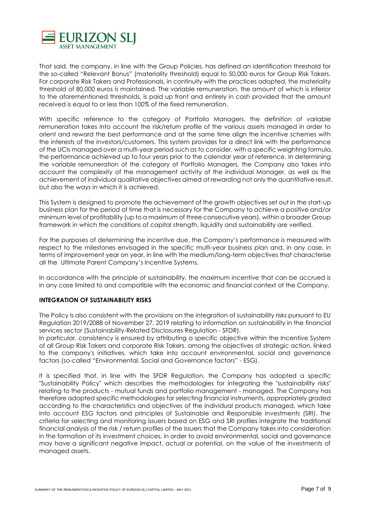

That said, the company, in line with the Group Policies, has defined an identification threshold for the so-called "Relevant Bonus" (materiality threshold) equal to 50,000 euros for Group Risk Takers. For corporate Risk Takers and Professionals, in continuity with the practices adopted, the materiality threshold of 80,000 euros is maintained. The variable remuneration, the amount of which is inferior to the aforementioned thresholds, is paid up front and entirely in cash provided that the amount received is equal to or less than 100% of the fixed remuneration.

With specific reference to the category of Portfolio Managers, the definition of variable remuneration takes into account the risk/return profile of the various assets managed in order to orient and reward the best performance and at the same time align the incentive schemes with the interests of the investors/customers. This system provides for a direct link with the performance of the UCIs managed over a multi-year period such as to consider, with a specific weighting formula, the performance achieved up to four years prior to the calendar year of reference. In determining the variable remuneration of the category of Portfolio Managers, the Company also takes into account the complexity of the management activity of the individual Manager, as well as the achievement of individual qualitative objectives aimed at rewarding not only the quantitative result, but also the ways in which it is achieved.

This System is designed to promote the achievement of the growth objectives set out in the start-up business plan for the period of time that is necessary for the Company to achieve a positive and/or minimum level of profitability (up to a maximum of three consecutive years), within a broader Group framework in which the conditions of capital strength, liquidity and sustainability are verified.

For the purposes of determining the incentive due, the Company's performance is measured with respect to the milestones envisaged in the specific multi-year business plan and, in any case, in terms of improvement year on year, in line with the medium/long-term objectives that characterise all the Ultimate Parent Company's Incentive Systems.

In accordance with the principle of sustainability, the maximum incentive that can be accrued is in any case limited to and compatible with the economic and financial context of the Company.

# **INTEGRATION OF SUSTAINABILITY RISKS**

The Policy is also consistent with the provisions on the integration of sustainability risks pursuant to EU Regulation 2019/2088 of November 27, 2019 relating to information on sustainability in the financial services sector (Sustainability-Related Disclosures Regulation - SFDR).

In particular, consistency is ensured by attributing a specific objective within the Incentive System of all Group Risk Takers and corporate Risk Takers, among the objectives of strategic action, linked to the company's initiatives. which take into account environmental, social and governance factors (so-called "Environmental, Social and Governance factors" - ESG).

It is specified that, in line with the SFDR Regulation, the Company has adopted a specific "Sustainability Policy" which describes the methodologies for integrating the "sustainability risks" relating to the products - mutual funds and portfolio management - managed. The Company has therefore adopted specific methodologies for selecting financial instruments, appropriately graded according to the characteristics and objectives of the individual products managed, which take into account ESG factors and principles of Sustainable and Responsible Investments (SRI). The criteria for selecting and monitoring issuers based on ESG and SRI profiles integrate the traditional financial analysis of the risk / return profiles of the issuers that the Company takes into consideration in the formation of its investment choices, in order to avoid environmental, social and governance may have a significant negative impact, actual or potential, on the value of the investments of managed assets.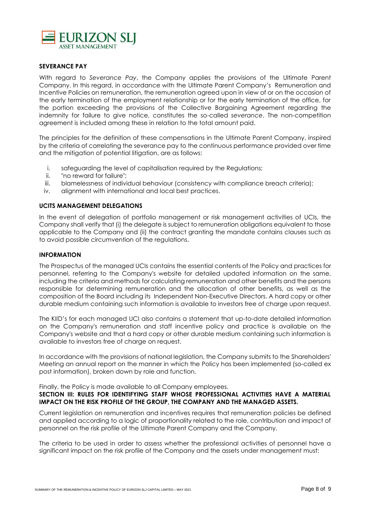

## **SEVERANCE PAY**

With regard to *Severance Pay*, the Company applies the provisions of the Ultimate Parent Company. In this regard, in accordance with the Ultimate Parent Company's Remuneration and Incentive Policies on remuneration, the remuneration agreed upon in view of or on the occasion of the early termination of the employment relationship or for the early termination of the office, for the portion exceeding the provisions of the Collective Bargaining Agreement regarding the indemnity for failure to give notice, constitutes the so-called *severance*. The non-competition agreement is included among these in relation to the total amount paid.

The principles for the definition of these compensations in the Ultimate Parent Company, inspired by the criteria of correlating the severance pay to the continuous performance provided over time and the mitigation of potential litigation, are as follows:

- i. safeguarding the level of capitalisation required by the Regulations;
- ii. "no reward for failure";
- iii. blamelessness of individual behaviour (consistency with compliance breach criteria);
- iv. alignment with international and local best practices.

## **UCITS MANAGEMENT DELEGATIONS**

In the event of delegation of portfolio management or risk management activities of UCIs, the Company shall verify that (i) the delegate is subject to remuneration obligations equivalent to those applicable to the Company and (ii) the contract granting the mandate contains clauses such as to avoid possible circumvention of the regulations.

#### **INFORMATION**

The Prospectus of the managed UCIs contains the essential contents of the Policy and practices for personnel, referring to the Company's website for detailed updated information on the same, including the criteria and methods for calculating remuneration and other benefits and the persons responsible for determining remuneration and the allocation of other benefits, as well as the composition of the Board including its Independent Non-Executive Directors. A hard copy or other durable medium containing such information is available to investors free of charge upon request.

The KIID's for each managed UCI also contains a statement that up-to-date detailed information on the Company's remuneration and staff incentive policy and practice is available on the Company's website and that a hard copy or other durable medium containing such information is available to investors free of charge on request.

In accordance with the provisions of national legislation, the Company submits to the Shareholders' Meeting an annual report on the manner in which the Policy has been implemented (so-called ex post information), broken down by role and function.

Finally, the Policy is made available to all Company employees.

## **SECTION III: RULES FOR IDENTIFYING STAFF WHOSE PROFESSIONAL ACTIVITIES HAVE A MATERIAL IMPACT ON THE RISK PROFILE OF THE GROUP, THE COMPANY AND THE MANAGED ASSETS.**

Current legislation on remuneration and incentives requires that remuneration policies be defined and applied according to a logic of proportionality related to the role, contribution and impact of personnel on the risk profile of the Ultimate Parent Company and the Company.

The criteria to be used in order to assess whether the professional activities of personnel have a significant impact on the risk profile of the Company and the assets under management must: